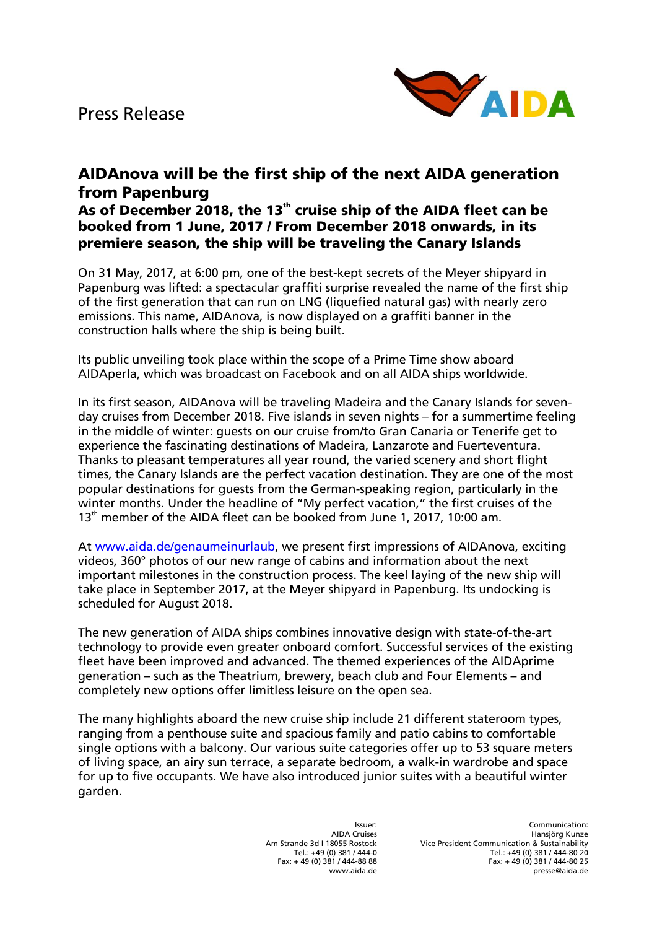Press Release



## **AIDAnova will be the first ship of the next AIDA generation from Papenburg**

## **As of December 2018, the 13th cruise ship of the AIDA fleet can be booked from 1 June, 2017 / From December 2018 onwards, in its premiere season, the ship will be traveling the Canary Islands**

On 31 May, 2017, at 6:00 pm, one of the best-kept secrets of the Meyer shipyard in Papenburg was lifted: a spectacular graffiti surprise revealed the name of the first ship of the first generation that can run on LNG (liquefied natural gas) with nearly zero emissions. This name, AIDAnova, is now displayed on a graffiti banner in the construction halls where the ship is being built.

Its public unveiling took place within the scope of a Prime Time show aboard AIDAperla, which was broadcast on Facebook and on all AIDA ships worldwide.

In its first season, AIDAnova will be traveling Madeira and the Canary Islands for sevenday cruises from December 2018. Five islands in seven nights – for a summertime feeling in the middle of winter: guests on our cruise from/to Gran Canaria or Tenerife get to experience the fascinating destinations of Madeira, Lanzarote and Fuerteventura. Thanks to pleasant temperatures all year round, the varied scenery and short flight times, the Canary Islands are the perfect vacation destination. They are one of the most popular destinations for guests from the German-speaking region, particularly in the winter months. Under the headline of "My perfect vacation," the first cruises of the  $13<sup>th</sup>$  member of the AIDA fleet can be booked from June 1, 2017, 10:00 am.

At [www.aida.de/genaumeinurlaub,](http://www.aida.de/genaumeinurlaub) we present first impressions of AIDAnova, exciting videos, 360° photos of our new range of cabins and information about the next important milestones in the construction process. The keel laying of the new ship will take place in September 2017, at the Meyer shipyard in Papenburg. Its undocking is scheduled for August 2018.

The new generation of AIDA ships combines innovative design with state-of-the-art technology to provide even greater onboard comfort. Successful services of the existing fleet have been improved and advanced. The themed experiences of the AIDAprime generation – such as the Theatrium, brewery, beach club and Four Elements – and completely new options offer limitless leisure on the open sea.

The many highlights aboard the new cruise ship include 21 different stateroom types, ranging from a penthouse suite and spacious family and patio cabins to comfortable single options with a balcony. Our various suite categories offer up to 53 square meters of living space, an airy sun terrace, a separate bedroom, a walk-in wardrobe and space for up to five occupants. We have also introduced junior suites with a beautiful winter garden.

> Issuer: AIDA Cruises Am Strande 3d I 18055 Rostock Tel.: +49 (0) 381 / 444-0 Fax: + 49 (0) 381 / 444-88 88 www.aida.de

Communication: Hansjörg Kunze Vice President Communication & Sustainability Tel.: +49 (0) 381 / 444-80 20 Fax: + 49 (0) 381 / 444-80 25 presse@aida.de